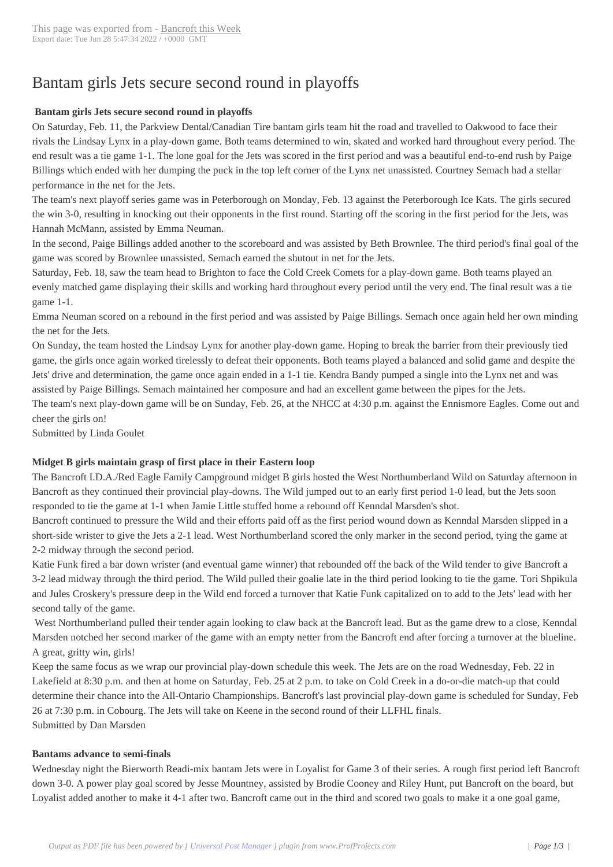# Bantam girls Jets s[ecure second](http://www.bancroftthisweek.com/?p=7600) round in playoffs

# **Bantam girls Jets secure second round in playoffs**

On Saturday, Feb. 11, the Parkview Dental/Canadian Tire bantam girls team hit the road and travelled to Oakwood to face their rivals the Lindsay Lynx in a play-down game. Both teams determined to win, skated and worked hard throughout every period. The end result was a tie game 1-1. The lone goal for the Jets was scored in the first period and was a beautiful end-to-end rush by Paige Billings which ended with her dumping the puck in the top left corner of the Lynx net unassisted. Courtney Semach had a stellar performance in the net for the Jets.

The team's next playoff series game was in Peterborough on Monday, Feb. 13 against the Peterborough Ice Kats. The girls secured the win 3-0, resulting in knocking out their opponents in the first round. Starting off the scoring in the first period for the Jets, was Hannah McMann, assisted by Emma Neuman.

In the second, Paige Billings added another to the scoreboard and was assisted by Beth Brownlee. The third period's final goal of the game was scored by Brownlee unassisted. Semach earned the shutout in net for the Jets.

Saturday, Feb. 18, saw the team head to Brighton to face the Cold Creek Comets for a play-down game. Both teams played an evenly matched game displaying their skills and working hard throughout every period until the very end. The final result was a tie game 1-1.

Emma Neuman scored on a rebound in the first period and was assisted by Paige Billings. Semach once again held her own minding the net for the Jets.

On Sunday, the team hosted the Lindsay Lynx for another play-down game. Hoping to break the barrier from their previously tied game, the girls once again worked tirelessly to defeat their opponents. Both teams played a balanced and solid game and despite the Jets' drive and determination, the game once again ended in a 1-1 tie. Kendra Bandy pumped a single into the Lynx net and was assisted by Paige Billings. Semach maintained her composure and had an excellent game between the pipes for the Jets.

The team's next play-down game will be on Sunday, Feb. 26, at the NHCC at 4:30 p.m. against the Ennismore Eagles. Come out and cheer the girls on!

Submitted by Linda Goulet

# **Midget B girls maintain grasp of first place in their Eastern loop**

The Bancroft I.D.A./Red Eagle Family Campground midget B girls hosted the West Northumberland Wild on Saturday afternoon in Bancroft as they continued their provincial play-downs. The Wild jumped out to an early first period 1-0 lead, but the Jets soon responded to tie the game at 1-1 when Jamie Little stuffed home a rebound off Kenndal Marsden's shot.

Bancroft continued to pressure the Wild and their efforts paid off as the first period wound down as Kenndal Marsden slipped in a short-side wrister to give the Jets a 2-1 lead. West Northumberland scored the only marker in the second period, tying the game at 2-2 midway through the second period.

Katie Funk fired a bar down wrister (and eventual game winner) that rebounded off the back of the Wild tender to give Bancroft a 3-2 lead midway through the third period. The Wild pulled their goalie late in the third period looking to tie the game. Tori Shpikula and Jules Croskery's pressure deep in the Wild end forced a turnover that Katie Funk capitalized on to add to the Jets' lead with her second tally of the game.

 West Northumberland pulled their tender again looking to claw back at the Bancroft lead. But as the game drew to a close, Kenndal Marsden notched her second marker of the game with an empty netter from the Bancroft end after forcing a turnover at the blueline. A great, gritty win, girls!

Keep the same focus as we wrap our provincial play-down schedule this week. The Jets are on the road Wednesday, Feb. 22 in Lakefield at 8:30 p.m. and then at home on Saturday, Feb. 25 at 2 p.m. to take on Cold Creek in a do-or-die match-up that could determine their chance into the All-Ontario Championships. Bancroft's last provincial play-down game is scheduled for Sunday, Feb 26 at 7:30 p.m. in Cobourg. The Jets will take on Keene in the second round of their LLFHL finals. Submitted by Dan Marsden

# **Bantams advance to semi-finals**

Wednesday night the Bierworth Readi-mix bantam Jets were in Loyalist for Game 3 of their series. A rough first period left Bancroft down 3-0. A power play goal scored by Jesse Mountney, assisted by Brodie Cooney and Riley Hunt, put Bancroft on the board, but Loyalist added another to make it 4-1 after two. Bancroft came out in the third and scored two goals to make it a one goal game,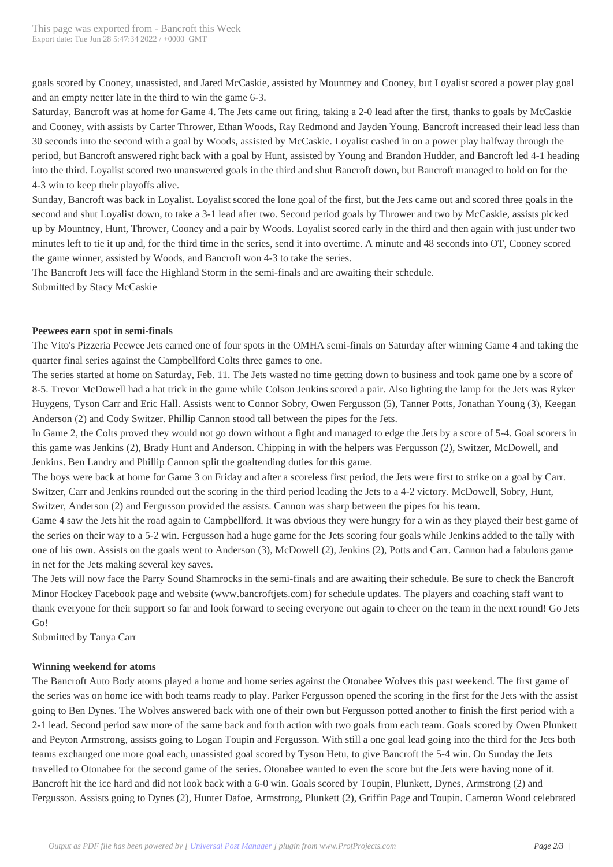goals scored by Cooney, unass[isted, and Jared McC](http://www.bancroftthisweek.com/?p=7600)askie, assisted by Mountney and Cooney, but Loyalist scored a power play goal and an empty netter late in the third to win the game 6-3.

Saturday, Bancroft was at home for Game 4. The Jets came out firing, taking a 2-0 lead after the first, thanks to goals by McCaskie and Cooney, with assists by Carter Thrower, Ethan Woods, Ray Redmond and Jayden Young. Bancroft increased their lead less than 30 seconds into the second with a goal by Woods, assisted by McCaskie. Loyalist cashed in on a power play halfway through the period, but Bancroft answered right back with a goal by Hunt, assisted by Young and Brandon Hudder, and Bancroft led 4-1 heading into the third. Loyalist scored two unanswered goals in the third and shut Bancroft down, but Bancroft managed to hold on for the 4-3 win to keep their playoffs alive.

Sunday, Bancroft was back in Loyalist. Loyalist scored the lone goal of the first, but the Jets came out and scored three goals in the second and shut Loyalist down, to take a 3-1 lead after two. Second period goals by Thrower and two by McCaskie, assists picked up by Mountney, Hunt, Thrower, Cooney and a pair by Woods. Loyalist scored early in the third and then again with just under two minutes left to tie it up and, for the third time in the series, send it into overtime. A minute and 48 seconds into OT, Cooney scored the game winner, assisted by Woods, and Bancroft won 4-3 to take the series.

The Bancroft Jets will face the Highland Storm in the semi-finals and are awaiting their schedule. Submitted by Stacy McCaskie

### **Peewees earn spot in semi-finals**

The Vito's Pizzeria Peewee Jets earned one of four spots in the OMHA semi-finals on Saturday after winning Game 4 and taking the quarter final series against the Campbellford Colts three games to one.

The series started at home on Saturday, Feb. 11. The Jets wasted no time getting down to business and took game one by a score of 8-5. Trevor McDowell had a hat trick in the game while Colson Jenkins scored a pair. Also lighting the lamp for the Jets was Ryker Huygens, Tyson Carr and Eric Hall. Assists went to Connor Sobry, Owen Fergusson (5), Tanner Potts, Jonathan Young (3), Keegan Anderson (2) and Cody Switzer. Phillip Cannon stood tall between the pipes for the Jets.

In Game 2, the Colts proved they would not go down without a fight and managed to edge the Jets by a score of 5-4. Goal scorers in this game was Jenkins (2), Brady Hunt and Anderson. Chipping in with the helpers was Fergusson (2), Switzer, McDowell, and Jenkins. Ben Landry and Phillip Cannon split the goaltending duties for this game.

The boys were back at home for Game 3 on Friday and after a scoreless first period, the Jets were first to strike on a goal by Carr. Switzer, Carr and Jenkins rounded out the scoring in the third period leading the Jets to a 4-2 victory. McDowell, Sobry, Hunt, Switzer, Anderson (2) and Fergusson provided the assists. Cannon was sharp between the pipes for his team.

Game 4 saw the Jets hit the road again to Campbellford. It was obvious they were hungry for a win as they played their best game of the series on their way to a 5-2 win. Fergusson had a huge game for the Jets scoring four goals while Jenkins added to the tally with one of his own. Assists on the goals went to Anderson (3), McDowell (2), Jenkins (2), Potts and Carr. Cannon had a fabulous game in net for the Jets making several key saves.

The Jets will now face the Parry Sound Shamrocks in the semi-finals and are awaiting their schedule. Be sure to check the Bancroft Minor Hockey Facebook page and website (www.bancroftjets.com) for schedule updates. The players and coaching staff want to thank everyone for their support so far and look forward to seeing everyone out again to cheer on the team in the next round! Go Jets Go!

Submitted by Tanya Carr

### **Winning weekend for atoms**

The Bancroft Auto Body atoms played a home and home series against the Otonabee Wolves this past weekend. The first game of the series was on home ice with both teams ready to play. Parker Fergusson opened the scoring in the first for the Jets with the assist going to Ben Dynes. The Wolves answered back with one of their own but Fergusson potted another to finish the first period with a 2-1 lead. Second period saw more of the same back and forth action with two goals from each team. Goals scored by Owen Plunkett and Peyton Armstrong, assists going to Logan Toupin and Fergusson. With still a one goal lead going into the third for the Jets both teams exchanged one more goal each, unassisted goal scored by Tyson Hetu, to give Bancroft the 5-4 win. On Sunday the Jets travelled to Otonabee for the second game of the series. Otonabee wanted to even the score but the Jets were having none of it. Bancroft hit the ice hard and did not look back with a 6-0 win. Goals scored by Toupin, Plunkett, Dynes, Armstrong (2) and Fergusson. Assists going to Dynes (2), Hunter Dafoe, Armstrong, Plunkett (2), Griffin Page and Toupin. Cameron Wood celebrated